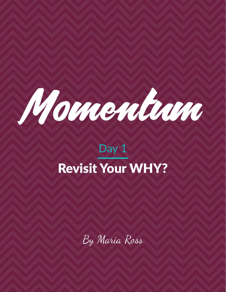

# Day 1 Revisit Your WHY?

By Maria Ross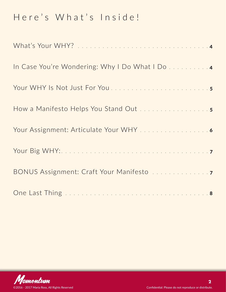# Here's What's Inside!

| Your Assignment: Articulate Your WHY 6 |
|----------------------------------------|
|                                        |
|                                        |
|                                        |

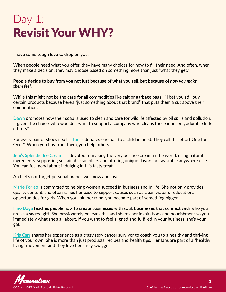# Day 1: Revisit Your WHY?

I have some tough love to drop on you.

When people need what you offer, they have many choices for how to fill their need. And often, when they make a decision, they may choose based on something more than just "what they get."

**People decide to buy from you not just because of what you sell, but because of** *how you make them feel.*

While this might not be the case for all commodities like salt or garbage bags, I'll bet you still buy certain products because here's "just something about that brand" that puts them a cut above their competition.

**[Dawn](http://dawn-dish.com/en-us)** promotes how their soap is used to clean and care for wildlife affected by oil spills and pollution. If given the choice, who wouldn't want to support a company who cleans those innocent, adorable little critters?

For every pair of shoes it sells, **[Tom's](http://www.toms.com/)** donates one pair to a child in need. They call this effort One for One™. When you buy from them, you help others.

**[Jeni's Splendid Ice Creams](https://jenis.com/about/)** is devoted to making the very best ice cream in the world, using natural ingredients, supporting sustainable suppliers and offering unique flavors not available anywhere else. You can feel good about indulging in this tasty treat.

And let's not forget personal brands we know and love….

**[Marie Forleo](http://www.marieforleo.com/)** is committed to helping women succeed in business and in life. She not only provides quality content, she often rallies her base to support causes such as clean water or educational opportunities for girls. When you join her tribe, you become part of something bigger.

**[Hiro Boga](http://hiroboga.com/about/)** teaches people how to create businesses with soul; businesses that connect with who you are as a sacred gift. She passionately believes this and shares her inspirations and nourishment so you immediately what she's all about. If you want to feel aligned and fulfilled in your business, she's your gal.

**[Kris Carr](http://kriscarr.com/meet-kris/)** shares her experience as a crazy sexy cancer survivor to coach you to a healthy and thriving life of your own. She is more than just products, recipes and health tips. Her fans are part of a "healthy living" movement and they love her sassy swagger.

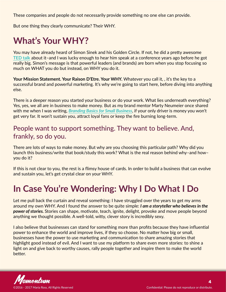<span id="page-3-0"></span>These companies and people do not necessarily provide something no one else can provide.

But one thing they clearly communicate? Their WHY.

# **What's Your WHY?**

You may have already heard of Simon Sinek and his Golden Circle. If not, he did a pretty awesome **[TED talk](https://www.youtube.com/watch?v=sioZd3AxmnE)** about it–and I was lucky enough to hear him speak at a conference years ago before he got really big. Simon's message is that powerful leaders (and brands) are born when you stop focusing so much on WHAT you do but instead, on WHY you do it.

Your Mission Statement. Your Raison D'Etre. Your WHY. Whatever you call it, , it's the key to a successful brand and powerful marketing. It's why we're going to start here, before diving into anything else.

There is a deeper reason you started your business or do your work. What lies underneath everything? Yes, yes, we all are in business to make money. But as my brand mentor Marty Neumeier once shared with me when I was writing, *[Branding Basics for Small Business](C:\Users\Riyanna\Desktop\bit.ly\brandingbasics2)*, if your only driver is money you won't get very far. It won't sustain you, attract loyal fans or keep the fire burning long-term.

#### People want to support something. They want to believe. And, frankly, so do you.

There are lots of ways to make money. But why are you choosing this particular path? Why did you launch this business/write that book/study this work? What is the real reason behind why–and how– you do it?

If this is not clear to you, the rest is a flimsy house of cards. In order to build a business that can evolve and sustain you, let's get crystal clear on your WHY.

## **In Case You're Wondering: Why I Do What I Do**

Let me pull back the curtain and reveal something: I have struggled over the years to get my arms around my own WHY. And I found the answer to be quite simple: *I am a storyteller who believes in the power of stories.* Stories can shape, motivate, teach, ignite, delight, provoke and move people beyond anything we thought possible. A well-told, witty, clever story is incredibly sexy.

I also believe that businesses can stand for something more than profits because they have influential power to enhance the world and improve lives, if they so choose. No matter how big or small, businesses have the power to use marketing and communication to share amazing stories that highlight good instead of evil. And I want to use my platform to share even more stories: to shine a light on and give back to worthy causes, rally people together and inspire them to make the world better.

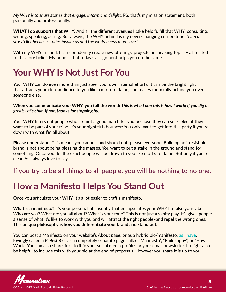<span id="page-4-0"></span>*My WHY is to share stories that engage, inform and delight.* PS, that's my mission statement, both personally and professionally.

**WHAT I do supports that WHY.** And all the different avenues I take help fulfill that WHY: consulting, writing, speaking, acting. But always, the WHY behind is my never-changing cornerstone. *"I am a storyteller because stories inspire us and the world needs more love."* 

With my WHY in hand, I can confidently create new offerings, projects or speaking topics-all related to this core belief. My hope is that today's assignment helps you do the same.

## **Your WHY Is Not Just For You**

Your WHY can do even more than just steer your own internal efforts. It can be the bright light that attracts your ideal audience to you like a moth to flame, and makes them rally behind you over someone else.

#### **When you communicate your WHY, you tell the world:** *This is who I am; this is how I work; If you dig it, great! Let's chat. If not, thanks for stopping by.*

Your WHY filters out people who are not a good match for you because they can self-select if they want to be part of your tribe. It's your nightclub bouncer: You only want to get into this party if you're down with what I'm all about.

**Please understand:** This means you cannot–and should not–please everyone. Building an irresistible brand is not about being pleasing the masses. You want to put a stake in the ground and stand for something. Once you do, the exact people will be drawn to you like moths to flame. But only if you're clear. As I always love to say…

#### If you try to be all things to all people, you will be nothing to no one.

#### **How a Manifesto Helps You Stand Out**

Once you articulate your WHY, it's a lot easier to craft a manifesto.

**What is a manifesto?** It's your personal philosophy that encapsulates your WHY but also your vibe. Who are you? What are you all about? What is your tone? This is not just a vanity play. It's gives people a sense of what it's like to work with you and will attract the right people–and repel the wrong ones. **This unique philosophy is how you differentiate your brand and stand out.**

You can post a Manifesto on your website's About page, or as a hybrid bio/manifesto, **[as I have](http://red-slice.com/about/)**, lovingly called a *Biofesto*) or as a completely separate page called "Manifesto", "Philosophy", or "How I Work." You can also share links to it in your social media profiles or your email newsletter. It might also be helpful to include this with your bio at the end of proposals. However you share it is up to you!

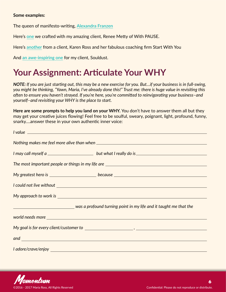#### <span id="page-5-0"></span>**Some examples:**

The queen of manifesto-writing, **[Alexandra Franzen](http://www.alexandrafranzen.com/about/)**

Here's **[one](http://www.withpause.com/about/)** we crafted with my amazing client, Renee Metty of With PAUSE.

Here's **[another](http://www.startwithyou.co/mission-values/)** from a client, Karen Ross and her fabulous coaching firm Start With You

And **[an awe-inspiring one](http://souldust.com/about/#manifesto)** for my client, Souldust.

#### **Your Assignment: Articulate Your WHY**

*NOTE: If you are just starting out, this may be a new exercise for you. But…if your business is in full-swing, you might be thinking, "Yawn, Maria, I've already done this!" Trust me: there is huge value in revisiting this often to ensure you haven't strayed. If you're here, you're committed to reinvigorating your business–and yourself–and revisiting your WHY is the place to start.*

**Here are some prompts to help you land on your WHY.** You don't have to answer them all but they may get your creative juices flowing! Feel free to be soulful, sweary, poignant, light, profound, funny, snarky….answer these in your own authentic inner voice:

| <u>I value</u>                                                                    |                                                                                                                                                                                                                                      |  |
|-----------------------------------------------------------------------------------|--------------------------------------------------------------------------------------------------------------------------------------------------------------------------------------------------------------------------------------|--|
|                                                                                   |                                                                                                                                                                                                                                      |  |
|                                                                                   |                                                                                                                                                                                                                                      |  |
| The most important people or things in my life are ______________________________ |                                                                                                                                                                                                                                      |  |
|                                                                                   |                                                                                                                                                                                                                                      |  |
|                                                                                   |                                                                                                                                                                                                                                      |  |
|                                                                                   |                                                                                                                                                                                                                                      |  |
|                                                                                   | was a profound turning point in my life and it taught me that the metapole of a profound turning point in my life and it taught me that the                                                                                          |  |
|                                                                                   |                                                                                                                                                                                                                                      |  |
|                                                                                   |                                                                                                                                                                                                                                      |  |
|                                                                                   | and <u>second and second and second and second and second and second and second and second and second and second and second and second and second and second and second and second and second and second and second and second a</u> |  |
|                                                                                   |                                                                                                                                                                                                                                      |  |

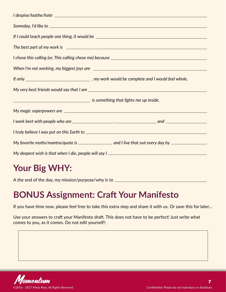<span id="page-6-0"></span>

| If I could teach people one thing, it would be _________________________________                                      |
|-----------------------------------------------------------------------------------------------------------------------|
|                                                                                                                       |
|                                                                                                                       |
|                                                                                                                       |
|                                                                                                                       |
|                                                                                                                       |
| <u>is something that lights me up inside.</u> We say that the same of the same of the same of the same of the same of |
|                                                                                                                       |
|                                                                                                                       |
|                                                                                                                       |
|                                                                                                                       |
| My deepest wish is that when I die, people will say I ___________________________                                     |

## **Your Big WHY:**

A the end of the day, my mission/purpose/why is to

### **BONUS Assignment: Craft Your Manifesto**

If you have time now, please feel free to take this extra step and share it with us. Or save this for later…

Use your answers to craft your Manifesto draft. This does not have to be perfect! Just write what comes to you, as it comes. Do not edit yourself!: